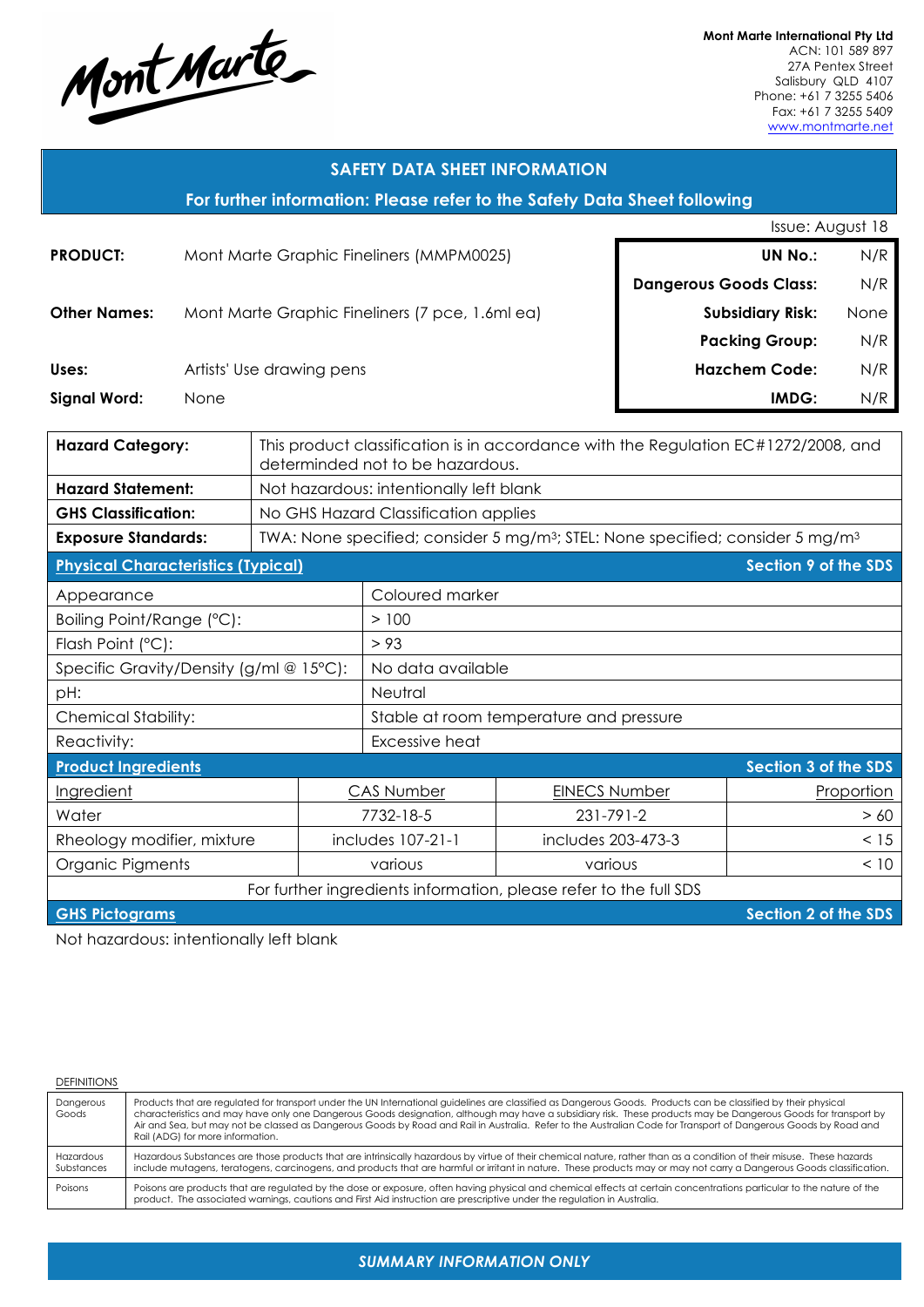

**Mont Marte International Pty Ltd** ACN: 101 589 897 27A Pentex Street Salisbury QLD 4107 Phone: +61 7 3255 5406 Fax: +61 7 3255 5409 www.montmarte.net

| <b>SAFETY DATA SHEET INFORMATION</b>                                     |                                                                                                               |  |                   |                                                                                                                                                |                                  |                         |                             |                             |  |
|--------------------------------------------------------------------------|---------------------------------------------------------------------------------------------------------------|--|-------------------|------------------------------------------------------------------------------------------------------------------------------------------------|----------------------------------|-------------------------|-----------------------------|-----------------------------|--|
| For further information: Please refer to the Safety Data Sheet following |                                                                                                               |  |                   |                                                                                                                                                |                                  |                         |                             |                             |  |
| Issue: August 18                                                         |                                                                                                               |  |                   |                                                                                                                                                |                                  |                         |                             |                             |  |
| <b>PRODUCT:</b><br>Mont Marte Graphic Fineliners (MMPM0025)              |                                                                                                               |  |                   |                                                                                                                                                |                                  | <b>UN No.:</b>          | N/R                         |                             |  |
| <b>Dangerous Goods Class:</b>                                            |                                                                                                               |  |                   |                                                                                                                                                | N/R                              |                         |                             |                             |  |
| <b>Other Names:</b>                                                      |                                                                                                               |  |                   | Mont Marte Graphic Fineliners (7 pce, 1.6ml ea)                                                                                                |                                  | <b>Subsidiary Risk:</b> |                             | None                        |  |
|                                                                          |                                                                                                               |  |                   |                                                                                                                                                |                                  | <b>Packing Group:</b>   |                             | N/R                         |  |
| Uses:                                                                    | Artists' Use drawing pens                                                                                     |  |                   |                                                                                                                                                |                                  |                         | N/R<br><b>Hazchem Code:</b> |                             |  |
| <b>Signal Word:</b>                                                      | None                                                                                                          |  |                   |                                                                                                                                                |                                  |                         | IMDG:                       | N/R                         |  |
|                                                                          |                                                                                                               |  |                   |                                                                                                                                                |                                  |                         |                             |                             |  |
|                                                                          | <b>Hazard Category:</b><br>This product classification is in accordance with the Regulation EC#1272/2008, and |  |                   |                                                                                                                                                |                                  |                         |                             |                             |  |
|                                                                          |                                                                                                               |  |                   |                                                                                                                                                | determinded not to be hazardous. |                         |                             |                             |  |
| <b>Hazard Statement:</b><br><b>GHS Classification:</b>                   |                                                                                                               |  |                   | Not hazardous: intentionally left blank                                                                                                        |                                  |                         |                             |                             |  |
| <b>Exposure Standards:</b>                                               |                                                                                                               |  |                   | No GHS Hazard Classification applies<br>TWA: None specified; consider 5 mg/m <sup>3</sup> ; STEL: None specified; consider 5 mg/m <sup>3</sup> |                                  |                         |                             |                             |  |
|                                                                          |                                                                                                               |  |                   |                                                                                                                                                |                                  |                         |                             | <b>Section 9 of the SDS</b> |  |
| <b>Physical Characteristics (Typical)</b>                                |                                                                                                               |  |                   |                                                                                                                                                |                                  |                         |                             |                             |  |
| Appearance                                                               |                                                                                                               |  |                   | Coloured marker                                                                                                                                |                                  |                         |                             |                             |  |
| Boiling Point/Range (°C):                                                |                                                                                                               |  |                   | > 100                                                                                                                                          |                                  |                         |                             |                             |  |
| Flash Point (°C):                                                        |                                                                                                               |  |                   | > 93                                                                                                                                           |                                  |                         |                             |                             |  |
| Specific Gravity/Density (g/ml @ 15°C):                                  |                                                                                                               |  |                   | No data available                                                                                                                              |                                  |                         |                             |                             |  |
| pH:                                                                      |                                                                                                               |  |                   | Neutral                                                                                                                                        |                                  |                         |                             |                             |  |
| <b>Chemical Stability:</b>                                               |                                                                                                               |  |                   | Stable at room temperature and pressure                                                                                                        |                                  |                         |                             |                             |  |
| Reactivity:                                                              |                                                                                                               |  | Excessive heat    |                                                                                                                                                |                                  |                         |                             |                             |  |
| <b>Product Ingredients</b>                                               |                                                                                                               |  |                   |                                                                                                                                                |                                  |                         |                             | Section 3 of the SDS        |  |
| Ingredient                                                               |                                                                                                               |  | <b>CAS Number</b> | <b>EINECS Number</b>                                                                                                                           |                                  |                         | Proportion                  |                             |  |
| Water                                                                    |                                                                                                               |  |                   | 7732-18-5                                                                                                                                      | 231-791-2                        |                         |                             | > 60                        |  |
| Rheology modifier, mixture                                               |                                                                                                               |  |                   | includes 203-473-3<br>includes 107-21-1                                                                                                        |                                  |                         |                             | < 15                        |  |
| Organic Pigments<br>various                                              |                                                                                                               |  | various           |                                                                                                                                                |                                  | < 10                    |                             |                             |  |
| For further ingredients information, please refer to the full SDS        |                                                                                                               |  |                   |                                                                                                                                                |                                  |                         |                             |                             |  |

**GHS Pictograms Section 2 of the SDS** 

Not hazardous: intentionally left blank

#### **DEFINITIONS**

| Dangerous<br>Goods      | Products that are regulated for transport under the UN International guidelines are classified as Dangerous Goods. Products can be classified by their physical<br>characteristics and may have only one Dangerous Goods designation, although may have a subsidiary risk. These products may be Dangerous Goods for transport by<br>Air and Sea, but may not be classed as Dangerous Goods by Road and Rail in Australia. Refer to the Australian Code for Transport of Dangerous Goods by Road and<br>Rail (ADG) for more information. |
|-------------------------|------------------------------------------------------------------------------------------------------------------------------------------------------------------------------------------------------------------------------------------------------------------------------------------------------------------------------------------------------------------------------------------------------------------------------------------------------------------------------------------------------------------------------------------|
| Hazardous<br>Substances | Hazardous Substances are those products that are intrinsically hazardous by virtue of their chemical nature, rather than as a condition of their misuse. These hazards<br>include mutagens, teratogens, carcinogens, and products that are harmful or irritant in nature. These products may or may not carry a Dangerous Goods classification.                                                                                                                                                                                          |
| Poisons                 | Poisons are products that are regulated by the dose or exposure, often having physical and chemical effects at certain concentrations particular to the nature of the<br>product. The associated warnings, cautions and First Aid instruction are prescriptive under the regulation in Australia.                                                                                                                                                                                                                                        |

*SUMMARY INFORMATION ONLY*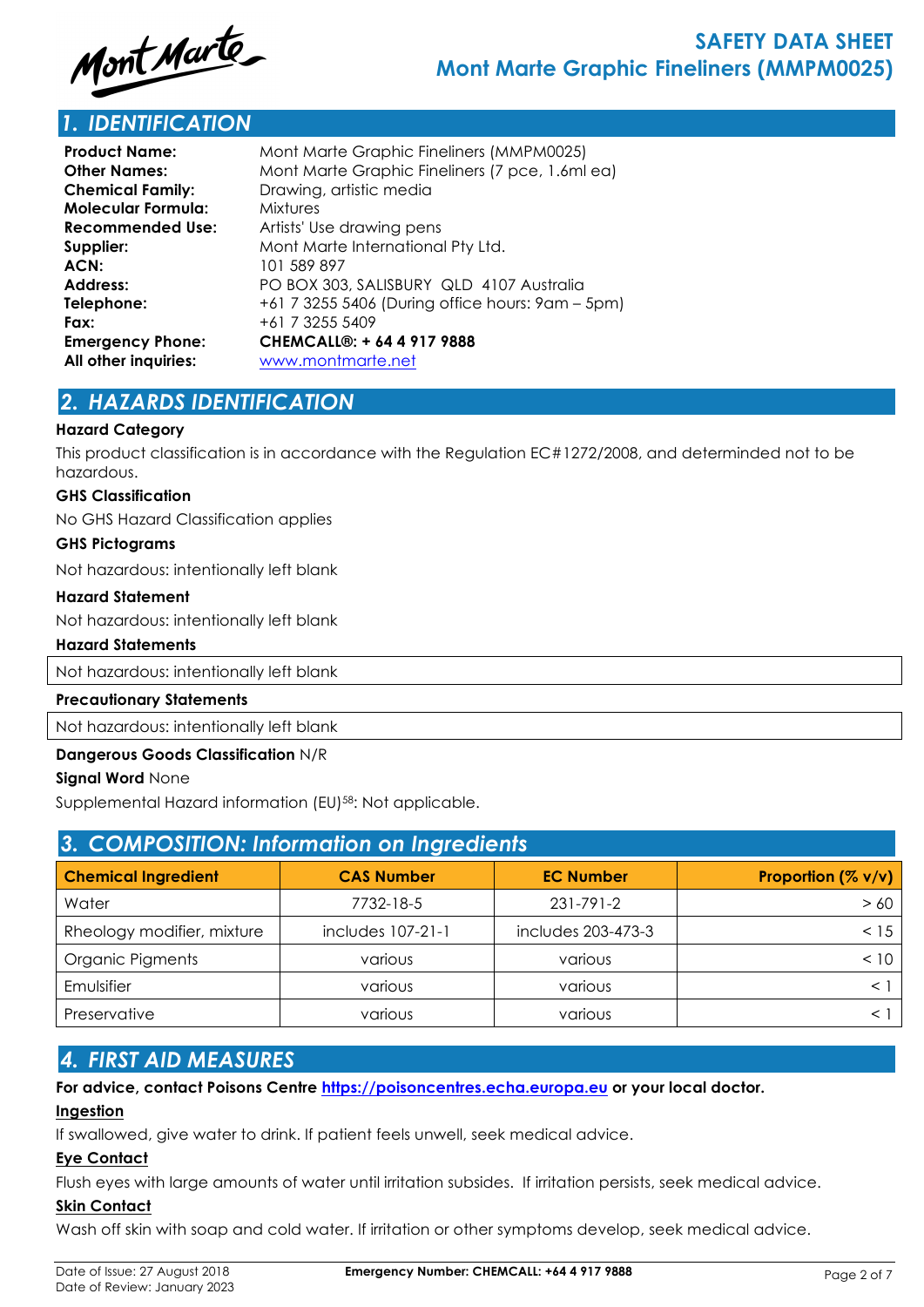

# *1. IDENTIFICATION*

| <b>Product Name:</b>                               | Mont Marte Graphic Fineliners (MMPM0025)         |  |  |  |
|----------------------------------------------------|--------------------------------------------------|--|--|--|
| <b>Other Names:</b>                                | Mont Marte Graphic Fineliners (7 pce, 1.6ml ea)  |  |  |  |
| Drawing, artistic media<br><b>Chemical Family:</b> |                                                  |  |  |  |
| Molecular Formula:                                 | <b>Mixtures</b>                                  |  |  |  |
| <b>Recommended Use:</b>                            | Artists' Use drawing pens                        |  |  |  |
| Supplier:                                          | Mont Marte International Pty Ltd.                |  |  |  |
| ACN:                                               | 101 589 897                                      |  |  |  |
| <b>Address:</b>                                    | PO BOX 303, SALISBURY QLD 4107 Australia         |  |  |  |
| Telephone:                                         | +61 7 3255 5406 (During office hours: 9am – 5pm) |  |  |  |
| Fax:                                               | +61 7 3255 5409                                  |  |  |  |
| <b>Emergency Phone:</b>                            | CHEMCALL®: + 64 4 917 9888                       |  |  |  |
| All other inquiries:                               | www.montmarte.net                                |  |  |  |

# *2. HAZARDS IDENTIFICATION*

#### **Hazard Category**

This product classification is in accordance with the Regulation EC#1272/2008, and determinded not to be hazardous.

#### **GHS Classification**

No GHS Hazard Classification applies

#### **GHS Pictograms**

Not hazardous: intentionally left blank

#### **Hazard Statement**

Not hazardous: intentionally left blank

#### **Hazard Statements**

Not hazardous: intentionally left blank

#### **Precautionary Statements**

Not hazardous: intentionally left blank

#### **Dangerous Goods Classification** N/R

#### **Signal Word** None

Supplemental Hazard information (EU)<sup>58</sup>: Not applicable.

| 3. COMPOSITION: Information on Ingredients |                   |                    |                       |  |  |
|--------------------------------------------|-------------------|--------------------|-----------------------|--|--|
| <b>Chemical Ingredient</b>                 | <b>CAS Number</b> | <b>EC Number</b>   | Proportion $(\% v/v)$ |  |  |
| Water                                      | 7732-18-5         | $231 - 791 - 2$    | > 60                  |  |  |
| Rheology modifier, mixture                 | includes 107-21-1 | includes 203-473-3 | < 15                  |  |  |
| Organic Pigments                           | various           | various            | < 10                  |  |  |
| Emulsifier                                 | various           | various            |                       |  |  |
| Preservative                               | various           | various            |                       |  |  |

# *4. FIRST AID MEASURES*

**For advice, contact Poisons Centre https://poisoncentres.echa.europa.eu or your local doctor.**

#### **Ingestion**

If swallowed, give water to drink. If patient feels unwell, seek medical advice.

#### **Eye Contact**

Flush eyes with large amounts of water until irritation subsides. If irritation persists, seek medical advice.

#### **Skin Contact**

Wash off skin with soap and cold water. If irritation or other symptoms develop, seek medical advice.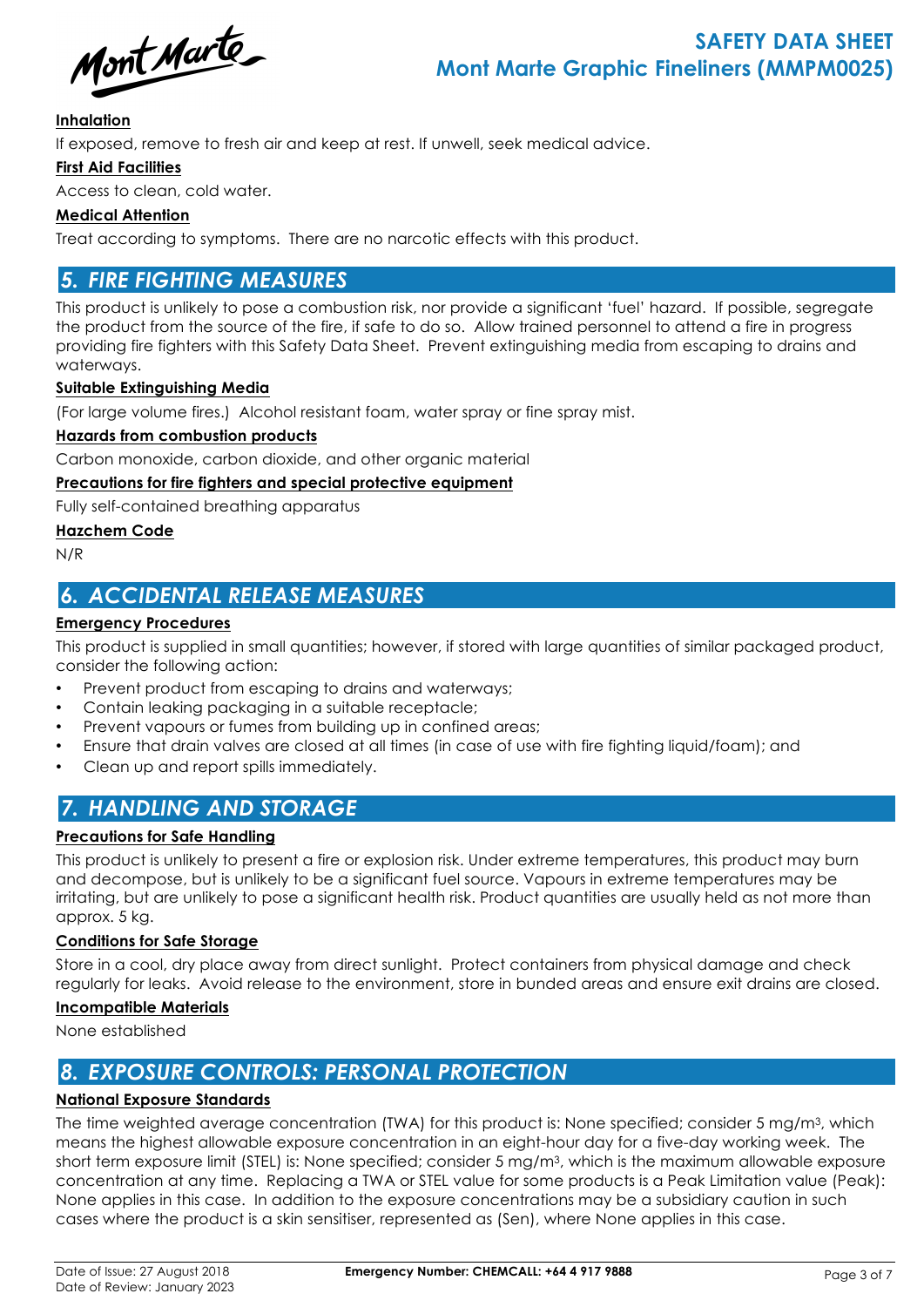Mont Marte

#### **Inhalation**

If exposed, remove to fresh air and keep at rest. If unwell, seek medical advice.

#### **First Aid Facilities**

Access to clean, cold water.

#### **Medical Attention**

Treat according to symptoms. There are no narcotic effects with this product.

### *5. FIRE FIGHTING MEASURES*

This product is unlikely to pose a combustion risk, nor provide a significant 'fuel' hazard. If possible, segregate the product from the source of the fire, if safe to do so. Allow trained personnel to attend a fire in progress providing fire fighters with this Safety Data Sheet. Prevent extinguishing media from escaping to drains and waterways.

#### **Suitable Extinguishing Media**

(For large volume fires.) Alcohol resistant foam, water spray or fine spray mist.

#### **Hazards from combustion products**

Carbon monoxide, carbon dioxide, and other organic material

#### **Precautions for fire fighters and special protective equipment**

Fully self-contained breathing apparatus

#### **Hazchem Code**

N/R

## *6. ACCIDENTAL RELEASE MEASURES*

#### **Emergency Procedures**

This product is supplied in small quantities; however, if stored with large quantities of similar packaged product, consider the following action:

- Prevent product from escaping to drains and waterways;
- Contain leaking packaging in a suitable receptacle;
- Prevent vapours or fumes from building up in confined areas;
- Ensure that drain valves are closed at all times (in case of use with fire fighting liquid/foam); and
- Clean up and report spills immediately.

# *7. HANDLING AND STORAGE*

#### **Precautions for Safe Handling**

This product is unlikely to present a fire or explosion risk. Under extreme temperatures, this product may burn and decompose, but is unlikely to be a significant fuel source. Vapours in extreme temperatures may be irritating, but are unlikely to pose a significant health risk. Product quantities are usually held as not more than approx. 5 kg.

#### **Conditions for Safe Storage**

Store in a cool, dry place away from direct sunlight. Protect containers from physical damage and check regularly for leaks. Avoid release to the environment, store in bunded areas and ensure exit drains are closed.

#### **Incompatible Materials**

None established

### *8. EXPOSURE CONTROLS: PERSONAL PROTECTION*

#### **National Exposure Standards**

The time weighted average concentration (TWA) for this product is: None specified; consider 5 mg/m3, which means the highest allowable exposure concentration in an eight-hour day for a five-day working week. The short term exposure limit (STEL) is: None specified; consider 5 mg/m3, which is the maximum allowable exposure concentration at any time. Replacing a TWA or STEL value for some products is a Peak Limitation value (Peak): None applies in this case. In addition to the exposure concentrations may be a subsidiary caution in such cases where the product is a skin sensitiser, represented as (Sen), where None applies in this case.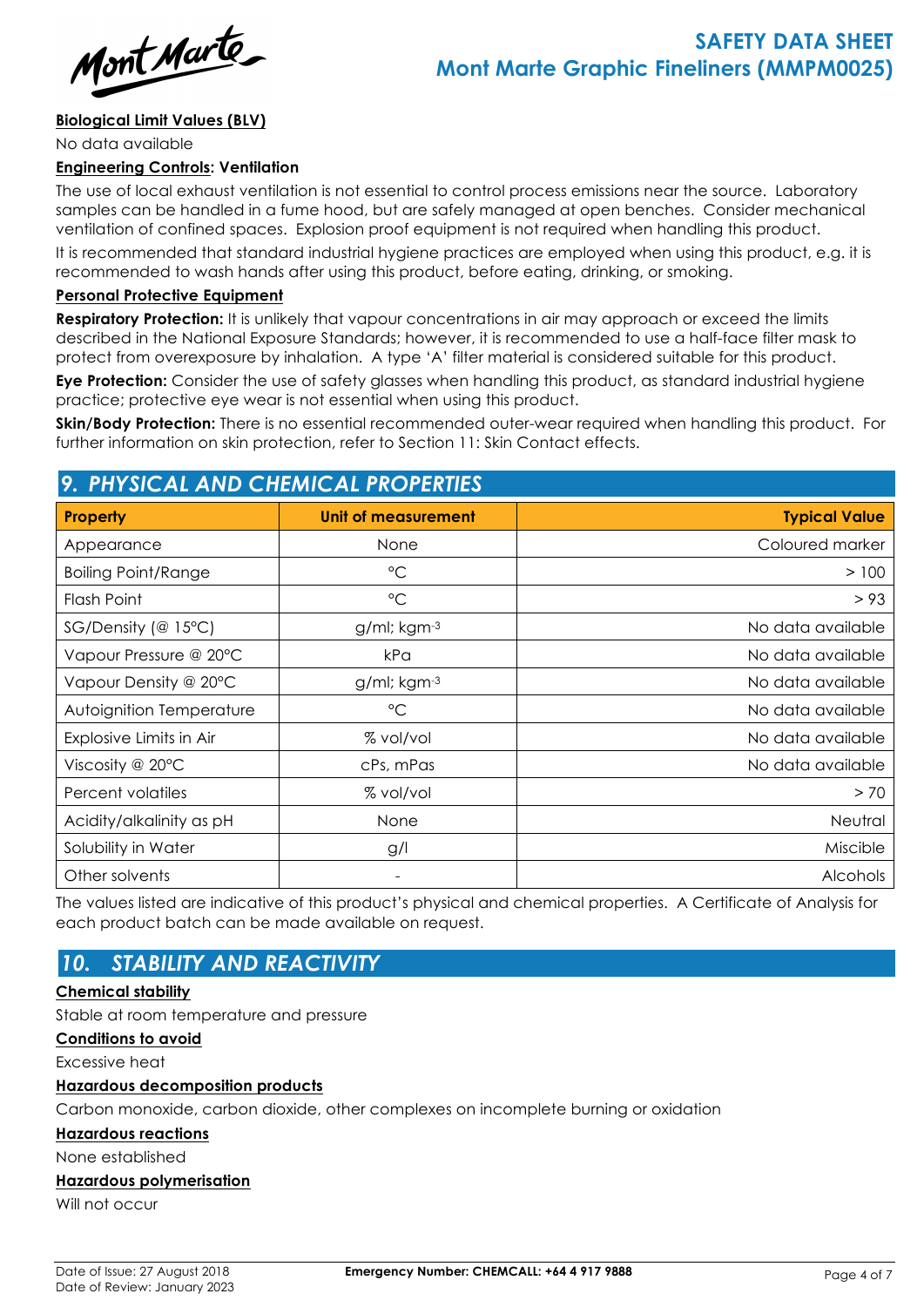

#### **Biological Limit Values (BLV)**

No data available

#### **Engineering Controls: Ventilation**

The use of local exhaust ventilation is not essential to control process emissions near the source. Laboratory samples can be handled in a fume hood, but are safely managed at open benches. Consider mechanical ventilation of confined spaces. Explosion proof equipment is not required when handling this product.

It is recommended that standard industrial hygiene practices are employed when using this product, e.g. it is recommended to wash hands after using this product, before eating, drinking, or smoking.

#### **Personal Protective Equipment**

**Respiratory Protection:** It is unlikely that vapour concentrations in air may approach or exceed the limits described in the National Exposure Standards; however, it is recommended to use a half-face filter mask to protect from overexposure by inhalation. A type 'A' filter material is considered suitable for this product.

**Eye Protection:** Consider the use of safety glasses when handling this product, as standard industrial hygiene practice; protective eye wear is not essential when using this product.

**Skin/Body Protection:** There is no essential recommended outer-wear required when handling this product. For further information on skin protection, refer to Section 11: Skin Contact effects.

### *9. PHYSICAL AND CHEMICAL PROPERTIES*

| <b>Property</b>            | <b>Unit of measurement</b> | <b>Typical Value</b> |
|----------------------------|----------------------------|----------------------|
| Appearance                 | None                       | Coloured marker      |
| <b>Boiling Point/Range</b> | $^{\circ}C$                | > 100                |
| Flash Point                | $\rm ^{\circ}C$            | > 93                 |
| $SG/Density$ (@ 15°C)      | $g$ /ml; kgm $-3$          | No data available    |
| Vapour Pressure @ 20°C     | kPa                        | No data available    |
| Vapour Density @ 20°C      | $g/ml$ ; kgm $-3$          | No data available    |
| Autoignition Temperature   | $^{\circ}C$                | No data available    |
| Explosive Limits in Air    | % vol/vol                  | No data available    |
| Viscosity @ $20^{\circ}$ C | cPs, mPas                  | No data available    |
| Percent volatiles          | % vol/vol                  | > 70                 |
| Acidity/alkalinity as pH   | None                       | Neutral              |
| Solubility in Water        | g/l                        | Miscible             |
| Other solvents             |                            | Alcohols             |

The values listed are indicative of this product's physical and chemical properties. A Certificate of Analysis for each product batch can be made available on request.

# *10. STABILITY AND REACTIVITY*

#### **Chemical stability**

Stable at room temperature and pressure

#### **Conditions to avoid**

Excessive heat

#### **Hazardous decomposition products**

Carbon monoxide, carbon dioxide, other complexes on incomplete burning or oxidation

#### **Hazardous reactions**

None established

#### **Hazardous polymerisation**

Will not occur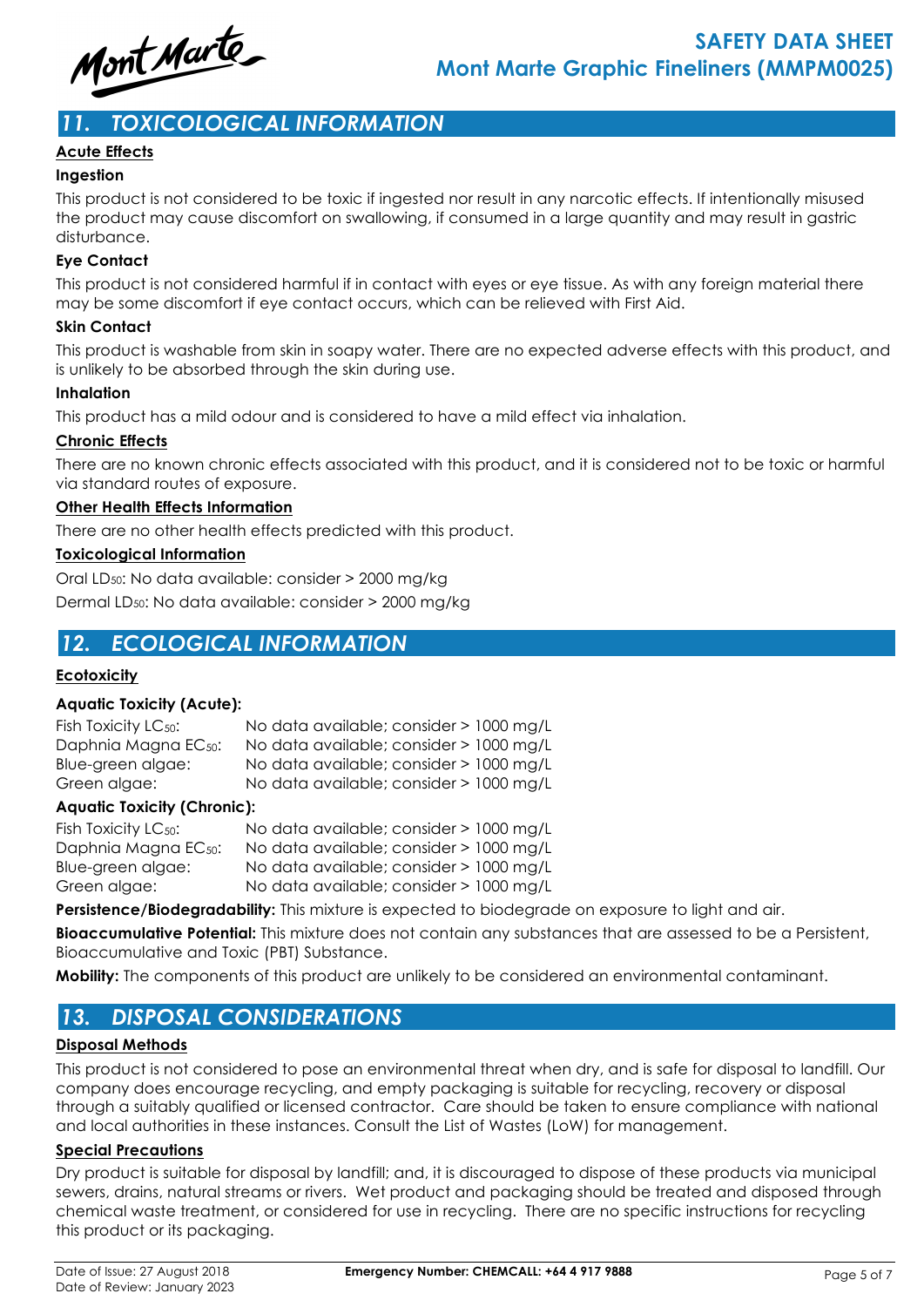

# *11. TOXICOLOGICAL INFORMATION*

#### **Acute Effects**

#### **Ingestion**

This product is not considered to be toxic if ingested nor result in any narcotic effects. If intentionally misused the product may cause discomfort on swallowing, if consumed in a large quantity and may result in gastric disturbance.

#### **Eye Contact**

This product is not considered harmful if in contact with eyes or eye tissue. As with any foreign material there may be some discomfort if eye contact occurs, which can be relieved with First Aid.

#### **Skin Contact**

This product is washable from skin in soapy water. There are no expected adverse effects with this product, and is unlikely to be absorbed through the skin during use.

#### **Inhalation**

This product has a mild odour and is considered to have a mild effect via inhalation.

#### **Chronic Effects**

There are no known chronic effects associated with this product, and it is considered not to be toxic or harmful via standard routes of exposure.

#### **Other Health Effects Information**

There are no other health effects predicted with this product.

#### **Toxicological Information**

Oral LD50: No data available: consider > 2000 mg/kg

Dermal LD50: No data available: consider > 2000 mg/kg

### *12. ECOLOGICAL INFORMATION*

#### **Ecotoxicity**

#### **Aquatic Toxicity (Acute):**

| Fish Toxicity $LC_{50}$ :        | No data available; consider > 1000 mg/L |
|----------------------------------|-----------------------------------------|
| Daphnia Magna EC <sub>50</sub> : | No data available; consider > 1000 mg/L |
| Blue-green algae:                | No data available; consider > 1000 mg/L |
| Green algae:                     | No data available; consider > 1000 mg/L |
|                                  |                                         |

#### **Aquatic Toxicity (Chronic):**

| Fish Toxicity LC <sub>50</sub> : | No data available; consider > 1000 mg/L |
|----------------------------------|-----------------------------------------|
| Daphnia Magna EC <sub>50</sub> : | No data available; consider > 1000 mg/L |
| Blue-green algae:                | No data available; consider > 1000 mg/L |
| Green algae:                     | No data available; consider > 1000 mg/L |

**Persistence/Biodegradability:** This mixture is expected to biodegrade on exposure to light and air.

**Bioaccumulative Potential:** This mixture does not contain any substances that are assessed to be a Persistent, Bioaccumulative and Toxic (PBT) Substance.

**Mobility:** The components of this product are unlikely to be considered an environmental contaminant.

# *13. DISPOSAL CONSIDERATIONS*

#### **Disposal Methods**

This product is not considered to pose an environmental threat when dry, and is safe for disposal to landfill. Our company does encourage recycling, and empty packaging is suitable for recycling, recovery or disposal through a suitably qualified or licensed contractor. Care should be taken to ensure compliance with national and local authorities in these instances. Consult the List of Wastes (LoW) for management.

#### **Special Precautions**

Dry product is suitable for disposal by landfill; and, it is discouraged to dispose of these products via municipal sewers, drains, natural streams or rivers. Wet product and packaging should be treated and disposed through chemical waste treatment, or considered for use in recycling. There are no specific instructions for recycling this product or its packaging.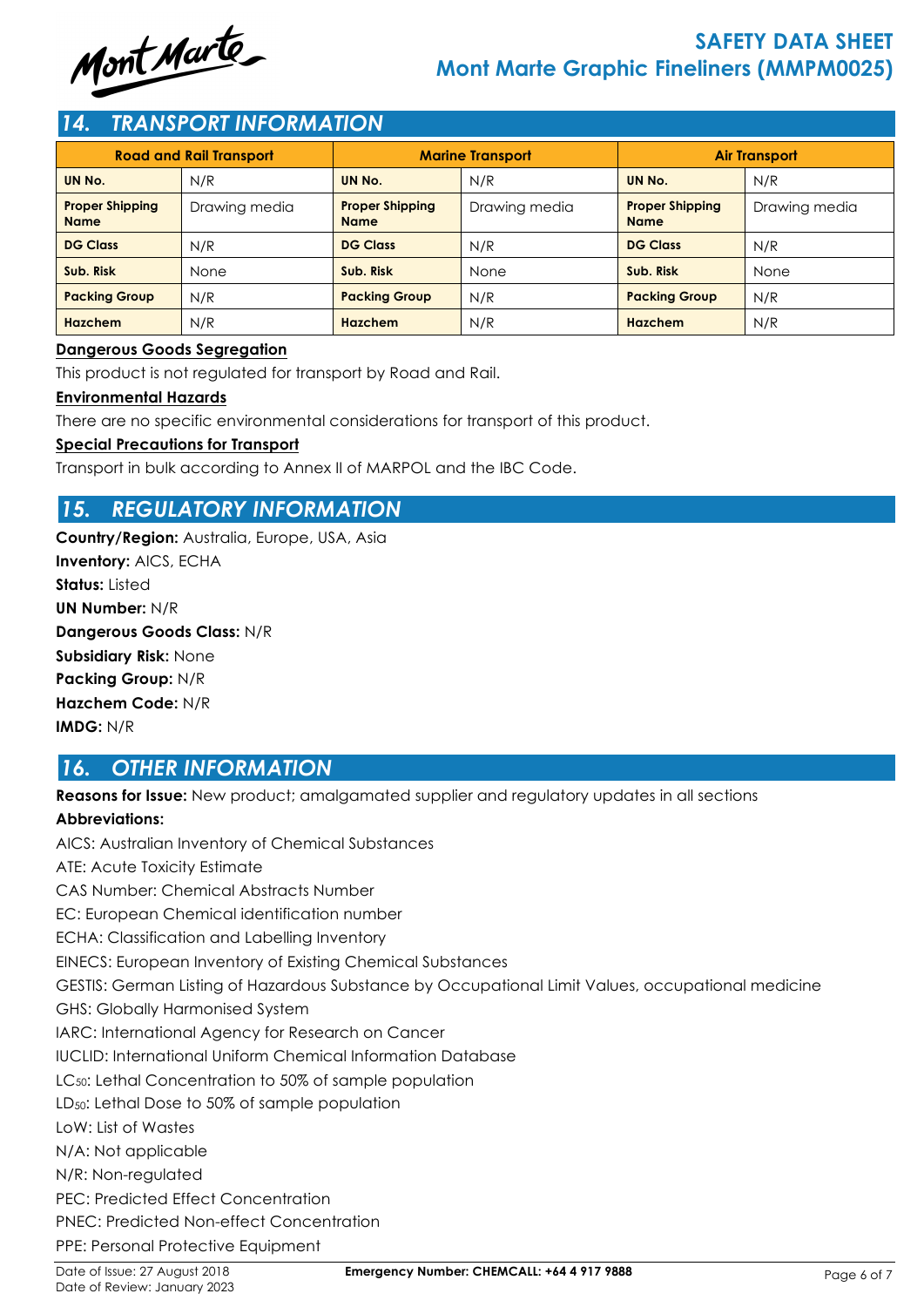

# **SAFETY DATA SHEET Mont Marte Graphic Fineliners (MMPM0025)**

### *14. TRANSPORT INFORMATION*

| <b>Road and Rail Transport</b>        |               | <b>Marine Transport</b>               |               | <b>Air Transport</b>                  |               |  |
|---------------------------------------|---------------|---------------------------------------|---------------|---------------------------------------|---------------|--|
| UN No.                                | N/R           | UN No.                                | N/R           | UN No.                                | N/R           |  |
| <b>Proper Shipping</b><br><b>Name</b> | Drawing media | <b>Proper Shipping</b><br><b>Name</b> | Drawing media | <b>Proper Shipping</b><br><b>Name</b> | Drawing media |  |
| <b>DG Class</b>                       | N/R           | <b>DG Class</b>                       | N/R           | <b>DG Class</b>                       | N/R           |  |
| Sub. Risk                             | None          | Sub. Risk                             | None          | Sub. Risk                             | None          |  |
| <b>Packing Group</b>                  | N/R           | <b>Packing Group</b>                  | N/R           | <b>Packing Group</b>                  | N/R           |  |
| <b>Hazchem</b>                        | N/R           | <b>Hazchem</b>                        | N/R           | Hazchem                               | N/R           |  |

#### **Dangerous Goods Segregation**

This product is not regulated for transport by Road and Rail.

#### **Environmental Hazards**

There are no specific environmental considerations for transport of this product.

#### **Special Precautions for Transport**

Transport in bulk according to Annex II of MARPOL and the IBC Code.

# *15. REGULATORY INFORMATION*

**Country/Region:** Australia, Europe, USA, Asia **Inventory:** AICS, ECHA **Status:** Listed **UN Number:** N/R **Dangerous Goods Class:** N/R **Subsidiary Risk:** None **Packing Group:** N/R **Hazchem Code:** N/R **IMDG:** N/R

### *16. OTHER INFORMATION*

**Reasons for Issue:** New product; amalgamated supplier and regulatory updates in all sections

#### **Abbreviations:**

AICS: Australian Inventory of Chemical Substances ATE: Acute Toxicity Estimate CAS Number: Chemical Abstracts Number EC: European Chemical identification number ECHA: Classification and Labelling Inventory EINECS: European Inventory of Existing Chemical Substances GESTIS: German Listing of Hazardous Substance by Occupational Limit Values, occupational medicine GHS: Globally Harmonised System IARC: International Agency for Research on Cancer IUCLID: International Uniform Chemical Information Database LC<sub>50</sub>: Lethal Concentration to 50% of sample population LD<sub>50</sub>: Lethal Dose to 50% of sample population LoW: List of Wastes N/A: Not applicable N/R: Non-regulated PEC: Predicted Effect Concentration PNEC: Predicted Non-effect Concentration PPE: Personal Protective Equipment